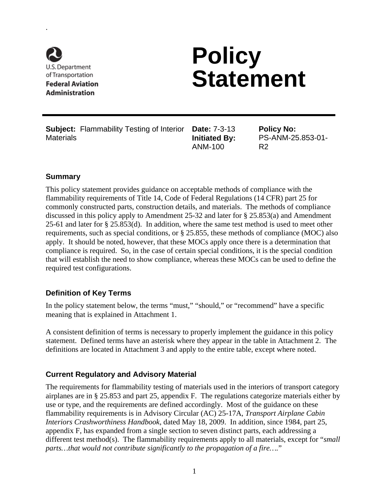

.

# **Policy Statement**

**Subject:** Flammability Testing of Interior **Date:** 7-3-13 **Materials** 

**Initiated By:**  ANM-100

**Policy No:**  PS-ANM-25.853-01- R2

### **Summary**

This policy statement provides guidance on acceptable methods of compliance with the flammability requirements of Title 14, Code of Federal Regulations (14 CFR) part 25 for commonly constructed parts, construction details, and materials. The methods of compliance discussed in this policy apply to Amendment 25-32 and later for § 25.853(a) and Amendment 25-61 and later for § 25.853(d). In addition, where the same test method is used to meet other requirements, such as special conditions, or § 25.855, these methods of compliance (MOC) also apply. It should be noted, however, that these MOCs apply once there is a determination that compliance is required. So, in the case of certain special conditions, it is the special condition that will establish the need to show compliance, whereas these MOCs can be used to define the required test configurations.

### **Definition of Key Terms**

In the policy statement below, the terms "must," "should," or "recommend" have a specific meaning that is explained in Attachment 1.

A consistent definition of terms is necessary to properly implement the guidance in this policy statement. Defined terms have an asterisk where they appear in the table in Attachment 2.The definitions are located in Attachment 3 and apply to the entire table, except where noted.

### **Current Regulatory and Advisory Material**

The requirements for flammability testing of materials used in the interiors of transport category airplanes are in § 25.853 and part 25, appendix F. The regulations categorize materials either by use or type, and the requirements are defined accordingly. Most of the guidance on these flammability requirements is in Advisory Circular (AC) 25-17A, *Transport Airplane Cabin Interiors Crashworthiness Handbook*, dated May 18, 2009. In addition, since 1984, part 25, appendix F, has expanded from a single section to seven distinct parts, each addressing a different test method(s). The flammability requirements apply to all materials, except for "*small parts…that would not contribute significantly to the propagation of a fire….*"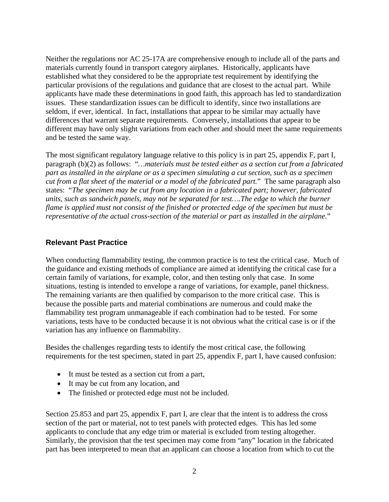Neither the regulations nor AC 25-17A are comprehensive enough to include all of the parts and materials currently found in transport category airplanes. Historically, applicants have established what they considered to be the appropriate test requirement by identifying the particular provisions of the regulations and guidance that are closest to the actual part. While applicants have made these determinations in good faith, this approach has led to standardization issues. These standardization issues can be difficult to identify, since two installations are seldom, if ever, identical. In fact, installations that appear to be similar may actually have differences that warrant separate requirements. Conversely, installations that appear to be different may have only slight variations from each other and should meet the same requirements and be tested the same way.

The most significant regulatory language relative to this policy is in part 25, appendix F, part I, paragraph (b)(2) as follows: "*…materials must be tested either as a section cut from a fabricated part as installed in the airplane or as a specimen simulating a cut section, such as a specimen cut from a flat sheet of the material or a model of the fabricated part.*" The same paragraph also states: "*The specimen may be cut from any location in a fabricated part; however, fabricated units, such as sandwich panels, may not be separated for test….The edge to which the burner flame is applied must not consist of the finished or protected edge of the specimen but must be representative of the actual cross-section of the material or part as installed in the airplane.*"

### **Relevant Past Practice**

When conducting flammability testing, the common practice is to test the critical case. Much of the guidance and existing methods of compliance are aimed at identifying the critical case for a certain family of variations, for example, color, and then testing only that case. In some situations, testing is intended to envelope a range of variations, for example, panel thickness. The remaining variants are then qualified by comparison to the more critical case. This is because the possible parts and material combinations are numerous and could make the flammability test program unmanageable if each combination had to be tested. For some variations, tests have to be conducted because it is not obvious what the critical case is or if the variation has any influence on flammability.

Besides the challenges regarding tests to identify the most critical case, the following requirements for the test specimen, stated in part 25, appendix F, part I, have caused confusion:

- It must be tested as a section cut from a part,
- It may be cut from any location, and
- The finished or protected edge must not be included.

Section 25.853 and part 25, appendix F, part I, are clear that the intent is to address the cross section of the part or material, not to test panels with protected edges. This has led some applicants to conclude that any edge trim or material is excluded from testing altogether. Similarly, the provision that the test specimen may come from "any" location in the fabricated part has been interpreted to mean that an applicant can choose a location from which to cut the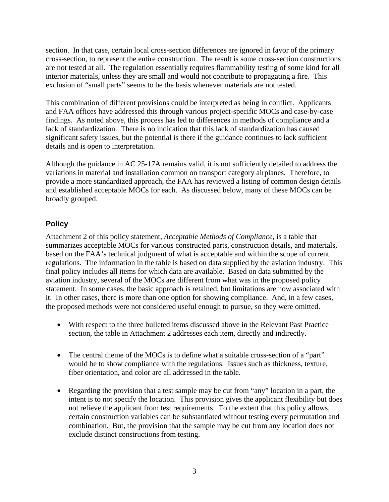section. In that case, certain local cross-section differences are ignored in favor of the primary cross-section, to represent the entire construction. The result is some cross-section constructions are not tested at all. The regulation essentially requires flammability testing of some kind for all interior materials, unless they are small and would not contribute to propagating a fire. This exclusion of "small parts" seems to be the basis whenever materials are not tested.

This combination of different provisions could be interpreted as being in conflict. Applicants and FAA offices have addressed this through various project-specific MOCs and case-by-case findings. As noted above, this process has led to differences in methods of compliance and a lack of standardization. There is no indication that this lack of standardization has caused significant safety issues, but the potential is there if the guidance continues to lack sufficient details and is open to interpretation.

Although the guidance in AC 25-17A remains valid, it is not sufficiently detailed to address the variations in material and installation common on transport category airplanes. Therefore, to provide a more standardized approach, the FAA has reviewed a listing of common design details and established acceptable MOCs for each. As discussed below, many of these MOCs can be broadly grouped.

### **Policy**

Attachment 2 of this policy statement, *Acceptable Methods of Compliance*, is a table that summarizes acceptable MOCs for various constructed parts, construction details, and materials, based on the FAA's technical judgment of what is acceptable and within the scope of current regulations. The information in the table is based on data supplied by the aviation industry. This final policy includes all items for which data are available. Based on data submitted by the aviation industry, several of the MOCs are different from what was in the proposed policy statement. In some cases, the basic approach is retained, but limitations are now associated with it. In other cases, there is more than one option for showing compliance. And, in a few cases, the proposed methods were not considered useful enough to pursue, so they were omitted.

- With respect to the three bulleted items discussed above in the Relevant Past Practice section, the table in Attachment 2 addresses each item, directly and indirectly.
- The central theme of the MOCs is to define what a suitable cross-section of a "part" would be to show compliance with the regulations. Issues such as thickness, texture, fiber orientation, and color are all addressed in the table.
- Regarding the provision that a test sample may be cut from "any" location in a part, the intent is to not specify the location. This provision gives the applicant flexibility but does not relieve the applicant from test requirements. To the extent that this policy allows, certain construction variables can be substantiated without testing every permutation and combination. But, the provision that the sample may be cut from any location does not exclude distinct constructions from testing.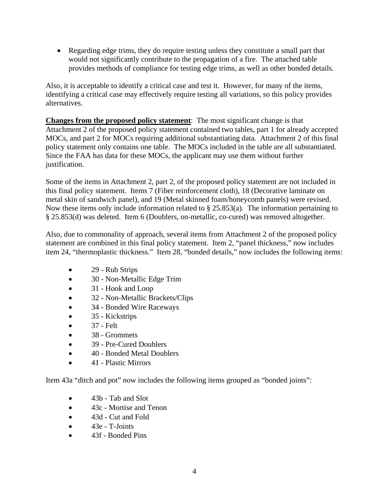• Regarding edge trims, they do require testing unless they constitute a small part that would not significantly contribute to the propagation of a fire. The attached table provides methods of compliance for testing edge trims, as well as other bonded details.

Also, it is acceptable to identify a critical case and test it. However, for many of the items, identifying a critical case may effectively require testing all variations, so this policy provides alternatives.

**Changes from the proposed policy statement**: The most significant change is that Attachment 2 of the proposed policy statement contained two tables, part 1 for already accepted MOCs, and part 2 for MOCs requiring additional substantiating data. Attachment 2 of this final policy statement only contains one table. The MOCs included in the table are all substantiated. Since the FAA has data for these MOCs, the applicant may use them without further justification.

Some of the items in Attachment 2, part 2, of the proposed policy statement are not included in this final policy statement. Items 7 (Fiber reinforcement cloth), 18 (Decorative laminate on metal skin of sandwich panel), and 19 (Metal skinned foam/honeycomb panels) were revised. Now these items only include information related to  $\S 25.853(a)$ . The information pertaining to § 25.853(d) was deleted. Item 6 (Doublers, on-metallic, co-cured) was removed altogether.

Also, due to commonality of approach, several items from Attachment 2 of the proposed policy statement are combined in this final policy statement. Item 2, "panel thickness," now includes item 24, "thermoplastic thickness." Item 28, "bonded details," now includes the following items:

- 29 Rub Strips
- 30 Non-Metallic Edge Trim
- 31 Hook and Loop
- 32 Non-Metallic Brackets/Clips
- 34 Bonded Wire Raceways
- 35 Kickstrips
- $< 37$  Felt
- 38 Grommets
- 39 Pre-Cured Doublers
- 40 Bonded Metal Doublers
- 41 Plastic Mirrors

Item 43a "ditch and pot" now includes the following items grouped as "bonded joints":

- 43b Tab and Slot
- 43c Mortise and Tenon
- 43d Cut and Fold
- $\bullet$  43e T-Joints
- 43f Bonded Pins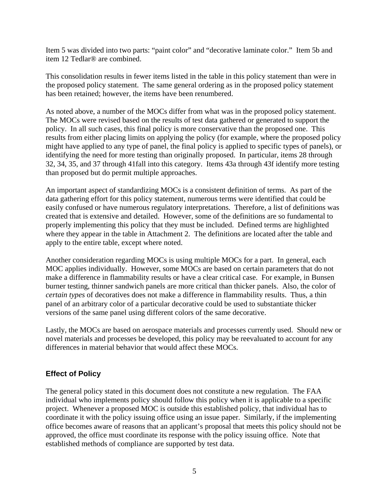Item 5 was divided into two parts: "paint color" and "decorative laminate color." Item 5b and item 12 Tedlar® are combined.

This consolidation results in fewer items listed in the table in this policy statement than were in the proposed policy statement. The same general ordering as in the proposed policy statement has been retained; however, the items have been renumbered.

As noted above, a number of the MOCs differ from what was in the proposed policy statement. The MOCs were revised based on the results of test data gathered or generated to support the policy. In all such cases, this final policy is more conservative than the proposed one. This results from either placing limits on applying the policy (for example, where the proposed policy might have applied to any type of panel, the final policy is applied to specific types of panels), or identifying the need for more testing than originally proposed. In particular, items 28 through 32, 34, 35, and 37 through 41fall into this category. Items 43a through 43f identify more testing than proposed but do permit multiple approaches.

An important aspect of standardizing MOCs is a consistent definition of terms. As part of the data gathering effort for this policy statement, numerous terms were identified that could be easily confused or have numerous regulatory interpretations. Therefore, a list of definitions was created that is extensive and detailed. However, some of the definitions are so fundamental to properly implementing this policy that they must be included. Defined terms are highlighted where they appear in the table in Attachment 2.The definitions are located after the table and apply to the entire table, except where noted.

Another consideration regarding MOCs is using multiple MOCs for a part. In general, each MOC applies individually. However, some MOCs are based on certain parameters that do not make a difference in flammability results or have a clear critical case. For example, in Bunsen burner testing, thinner sandwich panels are more critical than thicker panels. Also, the color of *certain types* of decoratives does not make a difference in flammability results. Thus, a thin panel of an arbitrary color of a particular decorative could be used to substantiate thicker versions of the same panel using different colors of the same decorative.

Lastly, the MOCs are based on aerospace materials and processes currently used. Should new or novel materials and processes be developed, this policy may be reevaluated to account for any differences in material behavior that would affect these MOCs.

### **Effect of Policy**

The general policy stated in this document does not constitute a new regulation. The FAA individual who implements policy should follow this policy when it is applicable to a specific project. Whenever a proposed MOC is outside this established policy, that individual has to coordinate it with the policy issuing office using an issue paper. Similarly, if the implementing office becomes aware of reasons that an applicant's proposal that meets this policy should not be approved, the office must coordinate its response with the policy issuing office. Note that established methods of compliance are supported by test data.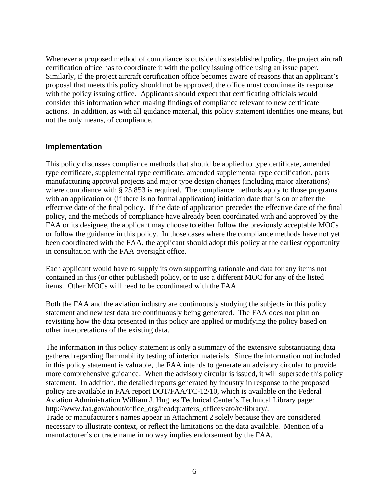Whenever a proposed method of compliance is outside this established policy, the project aircraft certification office has to coordinate it with the policy issuing office using an issue paper. Similarly, if the project aircraft certification office becomes aware of reasons that an applicant's proposal that meets this policy should not be approved, the office must coordinate its response with the policy issuing office. Applicants should expect that certificating officials would consider this information when making findings of compliance relevant to new certificate actions. In addition, as with all guidance material, this policy statement identifies one means, but not the only means, of compliance.

#### **Implementation**

This policy discusses compliance methods that should be applied to type certificate, amended type certificate, supplemental type certificate, amended supplemental type certification, parts manufacturing approval projects and major type design changes (including major alterations) where compliance with § 25.853 is required. The compliance methods apply to those programs with an application or (if there is no formal application) initiation date that is on or after the effective date of the final policy. If the date of application precedes the effective date of the final policy, and the methods of compliance have already been coordinated with and approved by the FAA or its designee, the applicant may choose to either follow the previously acceptable MOCs or follow the guidance in this policy. In those cases where the compliance methods have not yet been coordinated with the FAA, the applicant should adopt this policy at the earliest opportunity in consultation with the FAA oversight office.

Each applicant would have to supply its own supporting rationale and data for any items not contained in this (or other published) policy, or to use a different MOC for any of the listed items. Other MOCs will need to be coordinated with the FAA.

Both the FAA and the aviation industry are continuously studying the subjects in this policy statement and new test data are continuously being generated. The FAA does not plan on revisiting how the data presented in this policy are applied or modifying the policy based on other interpretations of the existing data.

The information in this policy statement is only a summary of the extensive substantiating data gathered regarding flammability testing of interior materials. Since the information not included in this policy statement is valuable, the FAA intends to generate an advisory circular to provide more comprehensive guidance. When the advisory circular is issued, it will supersede this policy statement. In addition, the detailed reports generated by industry in response to the proposed policy are available in FAA report DOT/FAA/TC-12/10, which is available on the Federal Aviation Administration William J. Hughes Technical Center's Technical Library page: http://www.faa.gov/about/office\_org/headquarters\_offices/ato/tc/library/. Trade or manufacturer's names appear in Attachment 2 solely because they are considered necessary to illustrate context, or reflect the limitations on the data available. Mention of a manufacturer's or trade name in no way implies endorsement by the FAA.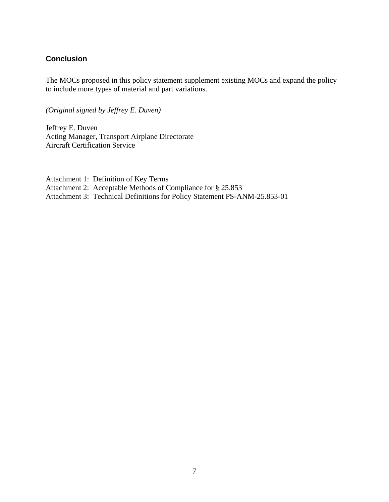#### **Conclusion**

The MOCs proposed in this policy statement supplement existing MOCs and expand the policy to include more types of material and part variations.

*(Original signed by Jeffrey E. Duven)*

Jeffrey E. Duven Acting Manager, Transport Airplane Directorate Aircraft Certification Service

Attachment 1: Definition of Key Terms Attachment 2: Acceptable Methods of Compliance for § 25.853 Attachment 3: Technical Definitions for Policy Statement PS-ANM-25.853-01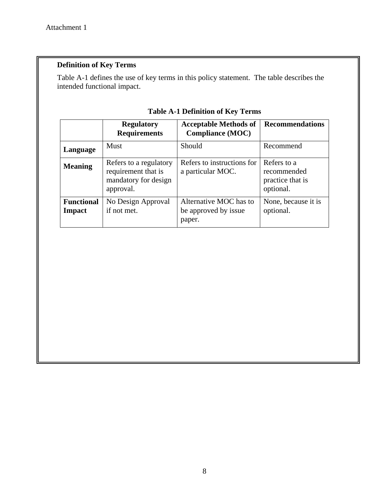### **Definition of Key Terms**

Table A-1 defines the use of key terms in this policy statement. The table describes the intended functional impact.

|                                    | <b>Regulatory</b><br><b>Requirements</b>                                           | <b>Acceptable Methods of</b><br><b>Compliance (MOC)</b>  | <b>Recommendations</b>                                      |
|------------------------------------|------------------------------------------------------------------------------------|----------------------------------------------------------|-------------------------------------------------------------|
| Language                           | Must                                                                               | Should                                                   | Recommend                                                   |
| <b>Meaning</b>                     | Refers to a regulatory<br>requirement that is<br>mandatory for design<br>approval. | Refers to instructions for<br>a particular MOC.          | Refers to a<br>recommended<br>practice that is<br>optional. |
| <b>Functional</b><br><b>Impact</b> | No Design Approval<br>if not met.                                                  | Alternative MOC has to<br>be approved by issue<br>paper. | None, because it is<br>optional.                            |

### **Table A-1 Definition of Key Terms**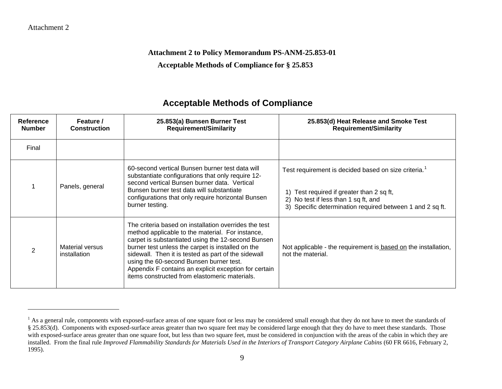#### Attachment 2

 $\overline{a}$ 

<span id="page-8-0"></span>**Attachment 2 to Policy Memorandum PS-ANM-25.853-01**

**Acceptable Methods of Compliance for § 25.853**

| Reference<br><b>Number</b> | Feature /<br><b>Construction</b> | 25.853(a) Bunsen Burner Test<br><b>Requirement/Similarity</b>                                                                                                                                                                                                                                                                                                                                                                    | 25.853(d) Heat Release and Smoke Test<br><b>Requirement/Similarity</b>                                                                                                                                             |
|----------------------------|----------------------------------|----------------------------------------------------------------------------------------------------------------------------------------------------------------------------------------------------------------------------------------------------------------------------------------------------------------------------------------------------------------------------------------------------------------------------------|--------------------------------------------------------------------------------------------------------------------------------------------------------------------------------------------------------------------|
| Final                      |                                  |                                                                                                                                                                                                                                                                                                                                                                                                                                  |                                                                                                                                                                                                                    |
|                            | Panels, general                  | 60-second vertical Bunsen burner test data will<br>substantiate configurations that only require 12-<br>second vertical Bunsen burner data. Vertical<br>Bunsen burner test data will substantiate<br>configurations that only require horizontal Bunsen<br>burner testing.                                                                                                                                                       | Test requirement is decided based on size criteria. <sup>1</sup><br>1) Test required if greater than 2 sq ft,<br>2) No test if less than 1 sq ft, and<br>3) Specific determination required between 1 and 2 sq ft. |
| $\mathcal{P}$              | Material versus<br>installation  | The criteria based on installation overrides the test<br>method applicable to the material. For instance,<br>carpet is substantiated using the 12-second Bunsen<br>burner test unless the carpet is installed on the<br>sidewall. Then it is tested as part of the sidewall<br>using the 60-second Bunsen burner test.<br>Appendix F contains an explicit exception for certain<br>items constructed from elastomeric materials. | Not applicable - the requirement is based on the installation,<br>not the material.                                                                                                                                |

<sup>&</sup>lt;sup>1</sup> As a general rule, components with exposed-surface areas of one square foot or less may be considered small enough that they do not have to meet the standards of § 25.853(d). Components with exposed-surface areas greater than two square feet may be considered large enough that they do have to meet these standards. Those with exposed-surface areas greater than one square foot, but less than two square feet, must be considered in conjunction with the areas of the cabin in which they are installed. From the final rule *Improved Flammability Standards for Materials Used in the Interiors of Transport Category Airplane Cabins* (60 FR 6616, February 2, 1995).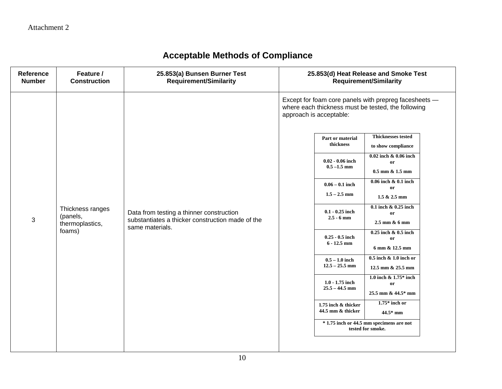| Reference<br><b>Number</b> | Feature /<br><b>Construction</b>                | 25.853(a) Bunsen Burner Test<br><b>Requirement/Similarity</b>                                                   | 25.853(d) Heat Release and Smoke Test<br><b>Requirement/Similarity</b>                                                                                                                                                                                                                                                                                                                                                                                                                                                |
|----------------------------|-------------------------------------------------|-----------------------------------------------------------------------------------------------------------------|-----------------------------------------------------------------------------------------------------------------------------------------------------------------------------------------------------------------------------------------------------------------------------------------------------------------------------------------------------------------------------------------------------------------------------------------------------------------------------------------------------------------------|
| 3                          | Thickness ranges<br>(panels,<br>thermoplastics, | Data from testing a thinner construction<br>substantiates a thicker construction made of the<br>same materials. | Except for foam core panels with prepreg facesheets -<br>where each thickness must be tested, the following<br>approach is acceptable:<br><b>Thicknesses tested</b><br>Part or material<br>thickness<br>to show compliance<br>0.02 inch & 0.06 inch<br>$0.02 - 0.06$ inch<br>or<br>$0.5 - 1.5$ mm<br>$0.5$ mm $\&$ 1.5 mm<br>$0.06$ inch $\& 0.1$ inch<br>$0.06 - 0.1$ inch<br><b>or</b><br>$1.5 - 2.5$ mm<br>$1.5 & 2.5$ mm<br>$0.1$ inch $\& 0.25$ inch<br>$0.1 - 0.25$ inch<br>or<br>$2.5 - 6$ mm<br>2.5 mm & 6 mm |
|                            | foams)                                          |                                                                                                                 | $0.25$ inch & $0.5$ inch<br>$0.25 - 0.5$ inch<br><b>or</b><br>$6 - 12.5$ mm<br>6 mm & 12.5 mm                                                                                                                                                                                                                                                                                                                                                                                                                         |
|                            |                                                 |                                                                                                                 | $0.5$ inch & 1.0 inch or<br>$0.5 - 1.0$ inch<br>$12.5 - 25.5$ mm<br>12.5 mm & 25.5 mm                                                                                                                                                                                                                                                                                                                                                                                                                                 |
|                            |                                                 |                                                                                                                 | 1.0 inch $\&$ 1.75* inch<br>$1.0 - 1.75$ inch<br>or<br>$25.5 - 44.5$ mm<br>25.5 mm & 44.5* mm                                                                                                                                                                                                                                                                                                                                                                                                                         |
|                            |                                                 |                                                                                                                 | $1.75*$ inch or<br>1.75 inch & thicker<br>44.5 mm & thicker<br>$44.5*$ mm                                                                                                                                                                                                                                                                                                                                                                                                                                             |
|                            |                                                 |                                                                                                                 | $*$ 1.75 inch or 44.5 mm specimens are not<br>tested for smoke.                                                                                                                                                                                                                                                                                                                                                                                                                                                       |
|                            |                                                 |                                                                                                                 |                                                                                                                                                                                                                                                                                                                                                                                                                                                                                                                       |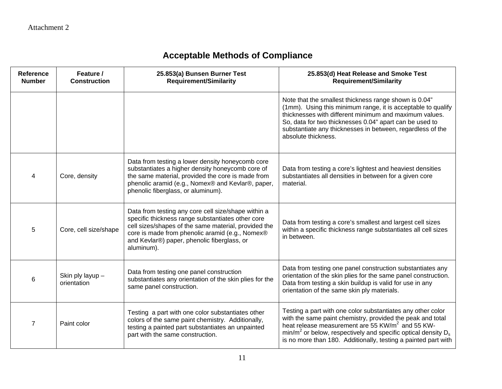| Reference<br><b>Number</b> | Feature /<br><b>Construction</b> | 25.853(a) Bunsen Burner Test<br><b>Requirement/Similarity</b>                                                                                                                                                                                                                    | 25.853(d) Heat Release and Smoke Test<br><b>Requirement/Similarity</b>                                                                                                                                                                                                                                                            |
|----------------------------|----------------------------------|----------------------------------------------------------------------------------------------------------------------------------------------------------------------------------------------------------------------------------------------------------------------------------|-----------------------------------------------------------------------------------------------------------------------------------------------------------------------------------------------------------------------------------------------------------------------------------------------------------------------------------|
|                            |                                  |                                                                                                                                                                                                                                                                                  | Note that the smallest thickness range shown is 0.04"<br>(1mm). Using this minimum range, it is acceptable to qualify<br>thicknesses with different minimum and maximum values.<br>So, data for two thicknesses 0.04" apart can be used to<br>substantiate any thicknesses in between, regardless of the<br>absolute thickness.   |
|                            | Core, density                    | Data from testing a lower density honeycomb core<br>substantiates a higher density honeycomb core of<br>the same material, provided the core is made from<br>phenolic aramid (e.g., Nomex® and Kevlar®, paper,<br>phenolic fiberglass, or aluminum).                             | Data from testing a core's lightest and heaviest densities<br>substantiates all densities in between for a given core<br>material.                                                                                                                                                                                                |
| 5.                         | Core, cell size/shape            | Data from testing any core cell size/shape within a<br>specific thickness range substantiates other core<br>cell sizes/shapes of the same material, provided the<br>core is made from phenolic aramid (e.g., Nomex®<br>and Kevlar®) paper, phenolic fiberglass, or<br>aluminum). | Data from testing a core's smallest and largest cell sizes<br>within a specific thickness range substantiates all cell sizes<br>in between.                                                                                                                                                                                       |
| 6                          | Skin ply layup -<br>orientation  | Data from testing one panel construction<br>substantiates any orientation of the skin plies for the<br>same panel construction.                                                                                                                                                  | Data from testing one panel construction substantiates any<br>orientation of the skin plies for the same panel construction.<br>Data from testing a skin buildup is valid for use in any<br>orientation of the same skin ply materials.                                                                                           |
| $\overline{7}$             | Paint color                      | Testing a part with one color substantiates other<br>colors of the same paint chemistry. Additionally,<br>testing a painted part substantiates an unpainted<br>part with the same construction.                                                                                  | Testing a part with one color substantiates any other color<br>with the same paint chemistry, provided the peak and total<br>heat release measurement are 55 KW/m <sup>2</sup> and 55 KW-<br>$min/m2$ or below, respectively and specific optical density $D_s$<br>is no more than 180. Additionally, testing a painted part with |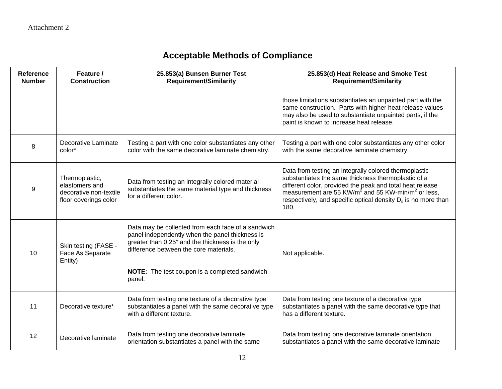| <b>Reference</b><br><b>Number</b> | Feature /<br><b>Construction</b>                                                    | 25.853(a) Bunsen Burner Test<br><b>Requirement/Similarity</b>                                                                                                                                                                                                  | 25.853(d) Heat Release and Smoke Test<br><b>Requirement/Similarity</b>                                                                                                                                                                                                                                                       |
|-----------------------------------|-------------------------------------------------------------------------------------|----------------------------------------------------------------------------------------------------------------------------------------------------------------------------------------------------------------------------------------------------------------|------------------------------------------------------------------------------------------------------------------------------------------------------------------------------------------------------------------------------------------------------------------------------------------------------------------------------|
|                                   |                                                                                     |                                                                                                                                                                                                                                                                | those limitations substantiates an unpainted part with the<br>same construction. Parts with higher heat release values<br>may also be used to substantiate unpainted parts, if the<br>paint is known to increase heat release.                                                                                               |
| 8                                 | Decorative Laminate<br>color*                                                       | Testing a part with one color substantiates any other<br>color with the same decorative laminate chemistry.                                                                                                                                                    | Testing a part with one color substantiates any other color<br>with the same decorative laminate chemistry.                                                                                                                                                                                                                  |
| 9                                 | Thermoplastic,<br>elastomers and<br>decorative non-textile<br>floor coverings color | Data from testing an integrally colored material<br>substantiates the same material type and thickness<br>for a different color.                                                                                                                               | Data from testing an integrally colored thermoplastic<br>substantiates the same thickness thermoplastic of a<br>different color, provided the peak and total heat release<br>measurement are 55 KW/ $m^2$ and 55 KW-min/ $m^2$ or less,<br>respectively, and specific optical density D <sub>s</sub> is no more than<br>180. |
| 10                                | Skin testing (FASE -<br>Face As Separate<br>Entity)                                 | Data may be collected from each face of a sandwich<br>panel independently when the panel thickness is<br>greater than 0.25" and the thickness is the only<br>difference between the core materials.<br>NOTE: The test coupon is a completed sandwich<br>panel. | Not applicable.                                                                                                                                                                                                                                                                                                              |
| 11                                | Decorative texture*                                                                 | Data from testing one texture of a decorative type<br>substantiates a panel with the same decorative type<br>with a different texture.                                                                                                                         | Data from testing one texture of a decorative type<br>substantiates a panel with the same decorative type that<br>has a different texture.                                                                                                                                                                                   |
| 12                                | Decorative laminate                                                                 | Data from testing one decorative laminate<br>orientation substantiates a panel with the same                                                                                                                                                                   | Data from testing one decorative laminate orientation<br>substantiates a panel with the same decorative laminate                                                                                                                                                                                                             |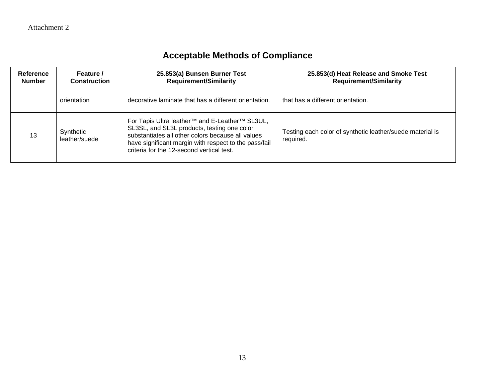| <b>Reference</b><br><b>Number</b> | Feature /<br><b>Construction</b> | 25.853(a) Bunsen Burner Test<br><b>Requirement/Similarity</b>                                                                                                                                                                                                                    | 25.853(d) Heat Release and Smoke Test<br><b>Requirement/Similarity</b> |
|-----------------------------------|----------------------------------|----------------------------------------------------------------------------------------------------------------------------------------------------------------------------------------------------------------------------------------------------------------------------------|------------------------------------------------------------------------|
|                                   | orientation                      | decorative laminate that has a different orientation.                                                                                                                                                                                                                            | that has a different orientation.                                      |
| 13                                | Synthetic<br>leather/suede       | For Tapis Ultra leather <sup>™</sup> and E-Leather <sup>™</sup> SL3UL,<br>SL3SL, and SL3L products, testing one color<br>substantiates all other colors because all values<br>have significant margin with respect to the pass/fail<br>criteria for the 12-second vertical test. | Testing each color of synthetic leather/suede material is<br>required. |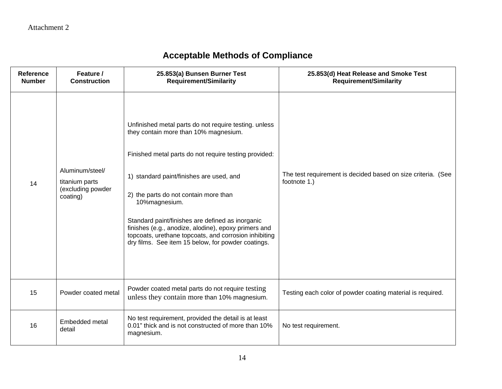| <b>Reference</b><br><b>Number</b> | Feature /<br><b>Construction</b>                                   | 25.853(a) Bunsen Burner Test<br><b>Requirement/Similarity</b>                                                                                                                                                                                                                                                                                                                                                                                                                            | 25.853(d) Heat Release and Smoke Test<br><b>Requirement/Similarity</b>       |
|-----------------------------------|--------------------------------------------------------------------|------------------------------------------------------------------------------------------------------------------------------------------------------------------------------------------------------------------------------------------------------------------------------------------------------------------------------------------------------------------------------------------------------------------------------------------------------------------------------------------|------------------------------------------------------------------------------|
| 14                                | Aluminum/steel/<br>titanium parts<br>(excluding powder<br>coating) | Unfinished metal parts do not require testing. unless<br>they contain more than 10% magnesium.<br>Finished metal parts do not require testing provided:<br>1) standard paint/finishes are used, and<br>2) the parts do not contain more than<br>10%magnesium.<br>Standard paint/finishes are defined as inorganic<br>finishes (e.g., anodize, alodine), epoxy primers and<br>topcoats, urethane topcoats, and corrosion inhibiting<br>dry films. See item 15 below, for powder coatings. | The test requirement is decided based on size criteria. (See<br>footnote 1.) |
| 15                                | Powder coated metal                                                | Powder coated metal parts do not require testing<br>unless they contain more than 10% magnesium.                                                                                                                                                                                                                                                                                                                                                                                         | Testing each color of powder coating material is required.                   |
| 16                                | Embedded metal<br>detail                                           | No test requirement, provided the detail is at least<br>0.01" thick and is not constructed of more than 10%<br>magnesium.                                                                                                                                                                                                                                                                                                                                                                | No test requirement.                                                         |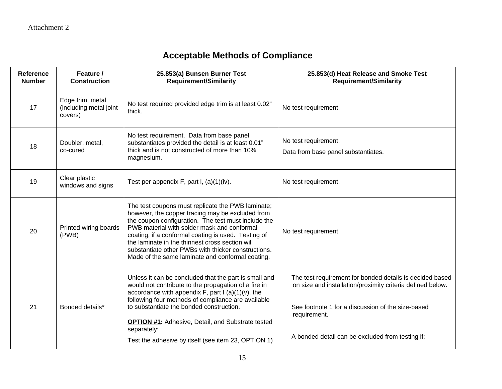| <b>Reference</b><br><b>Number</b> | Feature /<br><b>Construction</b>                      | 25.853(a) Bunsen Burner Test<br><b>Requirement/Similarity</b>                                                                                                                                                                                                                                                                                                                                                                    | 25.853(d) Heat Release and Smoke Test<br><b>Requirement/Similarity</b>                                                                                                                                                                          |
|-----------------------------------|-------------------------------------------------------|----------------------------------------------------------------------------------------------------------------------------------------------------------------------------------------------------------------------------------------------------------------------------------------------------------------------------------------------------------------------------------------------------------------------------------|-------------------------------------------------------------------------------------------------------------------------------------------------------------------------------------------------------------------------------------------------|
| 17                                | Edge trim, metal<br>(including metal joint<br>covers) | No test required provided edge trim is at least 0.02"<br>thick.                                                                                                                                                                                                                                                                                                                                                                  | No test requirement.                                                                                                                                                                                                                            |
| 18                                | Doubler, metal,<br>co-cured                           | No test requirement. Data from base panel<br>substantiates provided the detail is at least 0.01"<br>thick and is not constructed of more than 10%<br>magnesium.                                                                                                                                                                                                                                                                  | No test requirement.<br>Data from base panel substantiates.                                                                                                                                                                                     |
| 19                                | Clear plastic<br>windows and signs                    | Test per appendix F, part I, (a)(1)(iv).                                                                                                                                                                                                                                                                                                                                                                                         | No test requirement.                                                                                                                                                                                                                            |
| 20                                | Printed wiring boards<br>(PWB)                        | The test coupons must replicate the PWB laminate;<br>however, the copper tracing may be excluded from<br>the coupon configuration. The test must include the<br>PWB material with solder mask and conformal<br>coating, if a conformal coating is used. Testing of<br>the laminate in the thinnest cross section will<br>substantiate other PWBs with thicker constructions.<br>Made of the same laminate and conformal coating. | No test requirement.                                                                                                                                                                                                                            |
| 21                                | Bonded details*                                       | Unless it can be concluded that the part is small and<br>would not contribute to the propagation of a fire in<br>accordance with appendix $F$ , part I (a)(1)(v), the<br>following four methods of compliance are available<br>to substantiate the bonded construction.<br><b>OPTION #1:</b> Adhesive, Detail, and Substrate tested<br>separately:                                                                               | The test requirement for bonded details is decided based<br>on size and installation/proximity criteria defined below.<br>See footnote 1 for a discussion of the size-based<br>requirement.<br>A bonded detail can be excluded from testing if: |
|                                   |                                                       | Test the adhesive by itself (see item 23, OPTION 1)                                                                                                                                                                                                                                                                                                                                                                              |                                                                                                                                                                                                                                                 |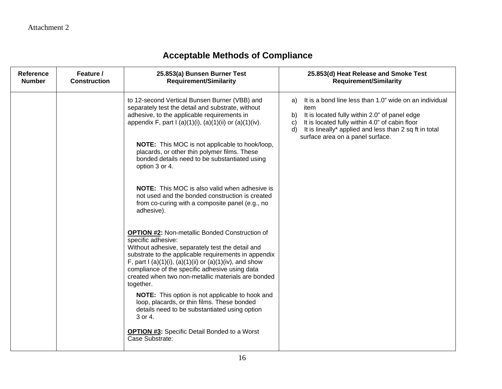| Reference<br><b>Number</b> | Feature /<br><b>Construction</b> | 25.853(a) Bunsen Burner Test<br><b>Requirement/Similarity</b>                                                                                                                                                                                                                                                                                                                            | 25.853(d) Heat Release and Smoke Test<br><b>Requirement/Similarity</b>                                                                                                                                                                                                                            |
|----------------------------|----------------------------------|------------------------------------------------------------------------------------------------------------------------------------------------------------------------------------------------------------------------------------------------------------------------------------------------------------------------------------------------------------------------------------------|---------------------------------------------------------------------------------------------------------------------------------------------------------------------------------------------------------------------------------------------------------------------------------------------------|
|                            |                                  | to 12-second Vertical Bunsen Burner (VBB) and<br>separately test the detail and substrate, without<br>adhesive, to the applicable requirements in<br>appendix F, part I (a)(1)(i), (a)(1)(ii) or (a)(1)(iv).<br><b>NOTE:</b> This MOC is not applicable to hook/loop,<br>placards, or other thin polymer films. These<br>bonded details need to be substantiated using<br>option 3 or 4. | It is a bond line less than 1.0" wide on an individual<br>a)<br>item<br>It is located fully within 2.0" of panel edge<br>b)<br>It is located fully within 4.0" of cabin floor<br>$\mathsf{C}$<br>It is lineally* applied and less than 2 sq ft in total<br>d)<br>surface area on a panel surface. |
|                            |                                  | <b>NOTE:</b> This MOC is also valid when adhesive is<br>not used and the bonded construction is created<br>from co-curing with a composite panel (e.g., no<br>adhesive).                                                                                                                                                                                                                 |                                                                                                                                                                                                                                                                                                   |
|                            |                                  | <b>OPTION #2: Non-metallic Bonded Construction of</b><br>specific adhesive:<br>Without adhesive, separately test the detail and<br>substrate to the applicable requirements in appendix<br>F, part I (a)(1)(i), (a)(1)(ii) or (a)(1)(iv), and show<br>compliance of the specific adhesive using data<br>created when two non-metallic materials are bonded<br>together.                  |                                                                                                                                                                                                                                                                                                   |
|                            |                                  | NOTE: This option is not applicable to hook and<br>loop, placards, or thin films. These bonded<br>details need to be substantiated using option<br>3 or 4.                                                                                                                                                                                                                               |                                                                                                                                                                                                                                                                                                   |
|                            |                                  | <b>OPTION #3:</b> Specific Detail Bonded to a Worst<br>Case Substrate:                                                                                                                                                                                                                                                                                                                   |                                                                                                                                                                                                                                                                                                   |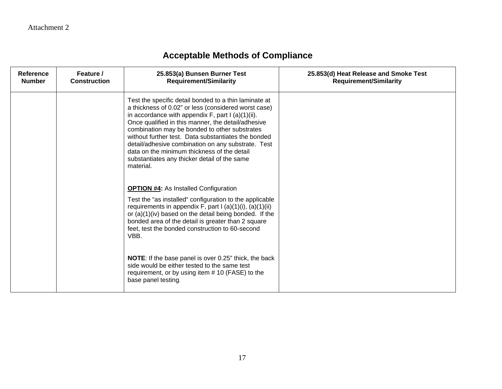| Reference<br><b>Number</b> | Feature /<br><b>Construction</b> | 25.853(a) Bunsen Burner Test<br><b>Requirement/Similarity</b>                                                                                                                                                                                                                                                                                                                                                                                                                                         | 25.853(d) Heat Release and Smoke Test<br><b>Requirement/Similarity</b> |
|----------------------------|----------------------------------|-------------------------------------------------------------------------------------------------------------------------------------------------------------------------------------------------------------------------------------------------------------------------------------------------------------------------------------------------------------------------------------------------------------------------------------------------------------------------------------------------------|------------------------------------------------------------------------|
|                            |                                  | Test the specific detail bonded to a thin laminate at<br>a thickness of 0.02" or less (considered worst case)<br>in accordance with appendix $F$ , part I (a)(1)(ii).<br>Once qualified in this manner, the detail/adhesive<br>combination may be bonded to other substrates<br>without further test. Data substantiates the bonded<br>detail/adhesive combination on any substrate. Test<br>data on the minimum thickness of the detail<br>substantiates any thicker detail of the same<br>material. |                                                                        |
|                            |                                  | <b>OPTION #4: As Installed Configuration</b><br>Test the "as installed" configuration to the applicable<br>requirements in appendix F, part I $(a)(1)(i)$ , $(a)(1)(ii)$<br>or (a)(1)(iv) based on the detail being bonded. If the<br>bonded area of the detail is greater than 2 square<br>feet, test the bonded construction to 60-second<br>VBB.                                                                                                                                                   |                                                                        |
|                            |                                  | <b>NOTE:</b> If the base panel is over 0.25" thick, the back<br>side would be either tested to the same test<br>requirement, or by using item #10 (FASE) to the<br>base panel testing.                                                                                                                                                                                                                                                                                                                |                                                                        |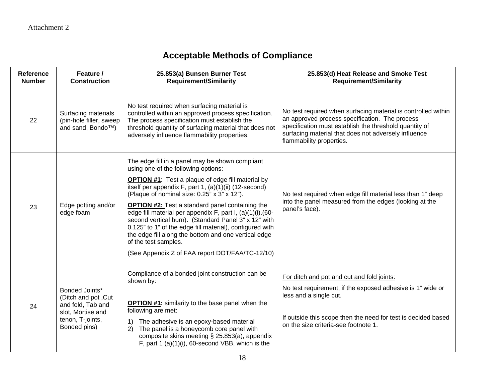| Reference<br><b>Number</b> | Feature /<br><b>Construction</b>                                                                                    | 25.853(a) Bunsen Burner Test<br><b>Requirement/Similarity</b>                                                                                                                                                                                                                                                                                                                                                                                                                                                                                                                                                                              | 25.853(d) Heat Release and Smoke Test<br><b>Requirement/Similarity</b>                                                                                                                                                                                        |
|----------------------------|---------------------------------------------------------------------------------------------------------------------|--------------------------------------------------------------------------------------------------------------------------------------------------------------------------------------------------------------------------------------------------------------------------------------------------------------------------------------------------------------------------------------------------------------------------------------------------------------------------------------------------------------------------------------------------------------------------------------------------------------------------------------------|---------------------------------------------------------------------------------------------------------------------------------------------------------------------------------------------------------------------------------------------------------------|
| 22                         | Surfacing materials<br>(pin-hole filler, sweep<br>and sand, Bondo™)                                                 | No test required when surfacing material is<br>controlled within an approved process specification.<br>The process specification must establish the<br>threshold quantity of surfacing material that does not<br>adversely influence flammability properties.                                                                                                                                                                                                                                                                                                                                                                              | No test required when surfacing material is controlled within<br>an approved process specification. The process<br>specification must establish the threshold quantity of<br>surfacing material that does not adversely influence<br>flammability properties. |
| 23                         | Edge potting and/or<br>edge foam                                                                                    | The edge fill in a panel may be shown compliant<br>using one of the following options:<br><b>OPTION #1:</b> Test a plaque of edge fill material by<br>itself per appendix F, part 1, $(a)(1)(ii)$ (12-second)<br>(Plaque of nominal size: 0.25" x 3" x 12").<br><b>OPTION #2:</b> Test a standard panel containing the<br>edge fill material per appendix F, part I, (a)(1)(i).(60-<br>second vertical burn). (Standard Panel 3" x 12" with<br>0.125" to 1" of the edge fill material), configured with<br>the edge fill along the bottom and one vertical edge<br>of the test samples.<br>(See Appendix Z of FAA report DOT/FAA/TC-12/10) | No test required when edge fill material less than 1" deep<br>into the panel measured from the edges (looking at the<br>panel's face).                                                                                                                        |
| 24                         | Bonded Joints*<br>(Ditch and pot, Cut<br>and fold, Tab and<br>slot, Mortise and<br>tenon, T-joints,<br>Bonded pins) | Compliance of a bonded joint construction can be<br>shown by:<br><b>OPTION #1:</b> similarity to the base panel when the<br>following are met:<br>The adhesive is an epoxy-based material<br>1)<br>The panel is a honeycomb core panel with<br>2)<br>composite skins meeting § 25.853(a), appendix<br>F, part 1 $(a)(1)(i)$ , 60-second VBB, which is the                                                                                                                                                                                                                                                                                  | For ditch and pot and cut and fold joints:<br>No test requirement, if the exposed adhesive is 1" wide or<br>less and a single cut.<br>If outside this scope then the need for test is decided based<br>on the size criteria-see footnote 1.                   |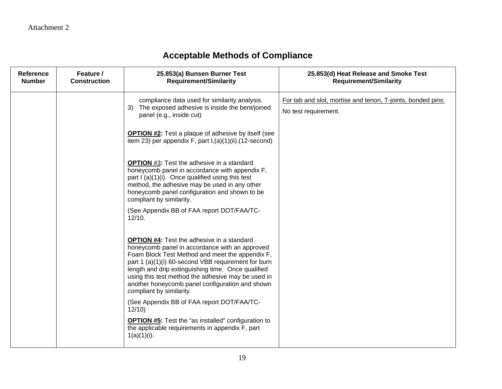| <b>Reference</b><br><b>Number</b> | Feature /<br><b>Construction</b> | 25.853(a) Bunsen Burner Test<br><b>Requirement/Similarity</b>                                                                                                                                                                                                                                                                                                                                            | 25.853(d) Heat Release and Smoke Test<br><b>Requirement/Similarity</b>              |
|-----------------------------------|----------------------------------|----------------------------------------------------------------------------------------------------------------------------------------------------------------------------------------------------------------------------------------------------------------------------------------------------------------------------------------------------------------------------------------------------------|-------------------------------------------------------------------------------------|
|                                   |                                  | compliance data used for similarity analysis.<br>3) The exposed adhesive is inside the bent/joined<br>panel (e.g., inside cut)                                                                                                                                                                                                                                                                           | For tab and slot, mortise and tenon, T-joints, bonded pins:<br>No test requirement. |
|                                   |                                  | <b>OPTION #2:</b> Test a plaque of adhesive by itself (see<br>item 23) per appendix $F$ , part $I$ , (a)(1)(ii).(12-second)                                                                                                                                                                                                                                                                              |                                                                                     |
|                                   |                                  | <b>OPTION</b> #3: Test the adhesive in a standard<br>honeycomb panel in accordance with appendix F,<br>part I (a)(1)(i). Once qualified using this test<br>method, the adhesive may be used in any other<br>honeycomb panel configuration and shown to be<br>compliant by similarity.                                                                                                                    |                                                                                     |
|                                   |                                  | (See Appendix BB of FAA report DOT/FAA/TC-<br>12/10.                                                                                                                                                                                                                                                                                                                                                     |                                                                                     |
|                                   |                                  | <b>OPTION #4:</b> Test the adhesive in a standard<br>honeycomb panel in accordance with an approved<br>Foam Block Test Method and meet the appendix F,<br>part 1 (a)(1)(i) 60-second VBB requirement for burn<br>length and drip extinguishing time. Once qualified<br>using this test method the adhesive may be used in<br>another honeycomb panel configuration and shown<br>compliant by similarity. |                                                                                     |
|                                   |                                  | (See Appendix BB of FAA report DOT/FAA/TC-<br>12/10                                                                                                                                                                                                                                                                                                                                                      |                                                                                     |
|                                   |                                  | <b>OPTION #5:</b> Test the "as installed" configuration to<br>the applicable requirements in appendix F, part<br>$1(a)(1)(i)$ .                                                                                                                                                                                                                                                                          |                                                                                     |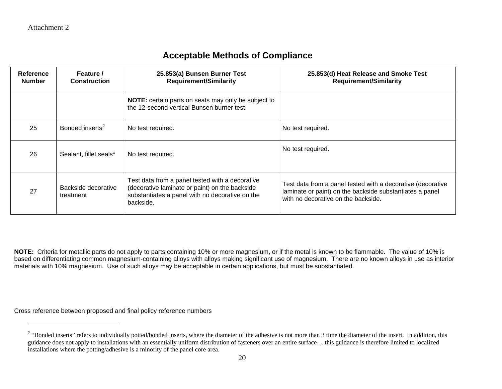$\overline{a}$ 

### <span id="page-19-0"></span>**Acceptable Methods of Compliance**

| <b>Reference</b><br><b>Number</b> | Feature /<br><b>Construction</b> | 25.853(a) Bunsen Burner Test<br><b>Requirement/Similarity</b>                                                                                                     | 25.853(d) Heat Release and Smoke Test<br><b>Requirement/Similarity</b>                                                                                         |
|-----------------------------------|----------------------------------|-------------------------------------------------------------------------------------------------------------------------------------------------------------------|----------------------------------------------------------------------------------------------------------------------------------------------------------------|
|                                   |                                  | NOTE: certain parts on seats may only be subject to<br>the 12-second vertical Bunsen burner test.                                                                 |                                                                                                                                                                |
| 25                                | Bonded inserts <sup>2</sup>      | No test required.                                                                                                                                                 | No test required.                                                                                                                                              |
| 26                                | Sealant, fillet seals*           | No test required.                                                                                                                                                 | No test required.                                                                                                                                              |
| 27                                | Backside decorative<br>treatment | Test data from a panel tested with a decorative<br>(decorative laminate or paint) on the backside<br>substantiates a panel with no decorative on the<br>backside. | Test data from a panel tested with a decorative (decorative<br>laminate or paint) on the backside substantiates a panel<br>with no decorative on the backside. |

**NOTE:** Criteria for metallic parts do not apply to parts containing 10% or more magnesium, or if the metal is known to be flammable. The value of 10% is based on differentiating common magnesium-containing alloys with alloys making significant use of magnesium. There are no known alloys in use as interior materials with 10% magnesium. Use of such alloys may be acceptable in certain applications, but must be substantiated.

Cross reference between proposed and final policy reference numbers

<sup>&</sup>lt;sup>2</sup> "Bonded inserts" refers to individually potted/bonded inserts, where the diameter of the adhesive is not more than 3 time the diameter of the insert. In addition, this guidance does not apply to installations with an essentially uniform distribution of fasteners over an entire surface… this guidance is therefore limited to localized installations where the potting/adhesive is a minority of the panel core area.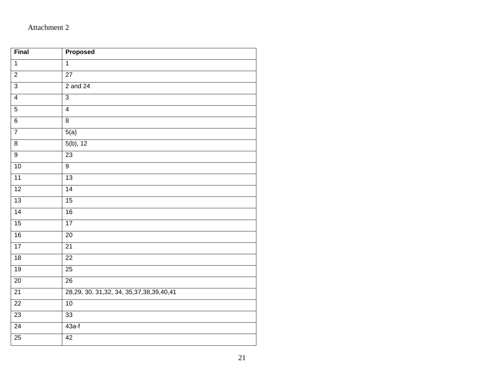### Attachment 2

| Final           | Proposed                                       |
|-----------------|------------------------------------------------|
| $\overline{1}$  | $\overline{1}$                                 |
| $\overline{2}$  | $\overline{27}$                                |
| $\overline{3}$  | 2 and 24                                       |
| $\overline{4}$  | $\overline{3}$                                 |
| $\overline{5}$  | $\overline{4}$                                 |
| $\overline{6}$  | $\overline{8}$                                 |
| $\overline{7}$  | 5(a)                                           |
| $\overline{8}$  | $5(b)$ , 12                                    |
| 9               | $\overline{23}$                                |
| 10              | $\overline{9}$                                 |
| 11              | 13                                             |
| 12              | 14                                             |
| 13              | $\overline{15}$                                |
| 14              | 16                                             |
| 15              | 17                                             |
| 16              | $\overline{20}$                                |
| $\overline{17}$ | $\overline{21}$                                |
| 18              | 22                                             |
| 19              | $\overline{25}$                                |
| 20              | 26                                             |
| 21              | 28, 29, 30, 31, 32, 34, 35, 37, 38, 39, 40, 41 |
| 22              | 10                                             |
| 23              | 33                                             |
| 24              | $43a-f$                                        |
| 25              | 42                                             |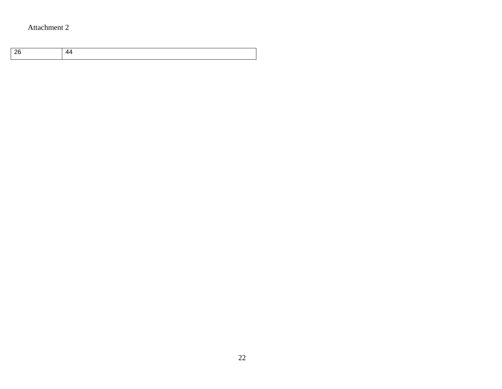### Attachment 2

|--|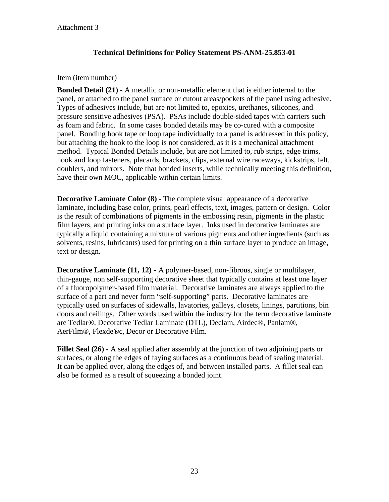#### **Technical Definitions for Policy Statement PS-ANM-25.853-01**

#### Item (item number)

**Bonded Detail (21) -** A metallic or non-metallic element that is either internal to the panel, or attached to the panel surface or cutout areas/pockets of the panel using adhesive. Types of adhesives include, but are not limited to, epoxies, urethanes, silicones, and pressure sensitive adhesives (PSA). PSAs include double-sided tapes with carriers such as foam and fabric. In some cases bonded details may be co-cured with a composite panel. Bonding hook tape or loop tape individually to a panel is addressed in this policy, but attaching the hook to the loop is not considered, as it is a mechanical attachment method. Typical Bonded Details include, but are not limited to, rub strips, edge trims, hook and loop fasteners, placards, brackets, clips, external wire raceways, kickstrips, felt, doublers, and mirrors. Note that bonded inserts, while technically meeting this definition, have their own MOC, applicable within certain limits.

**Decorative Laminate Color (8) -** The complete visual appearance of a decorative laminate, including base color, prints, pearl effects, text, images, pattern or design. Color is the result of combinations of pigments in the embossing resin, pigments in the plastic film layers, and printing inks on a surface layer. Inks used in decorative laminates are typically a liquid containing a mixture of various pigments and other ingredients (such as solvents, resins, lubricants) used for printing on a thin surface layer to produce an image, text or design.

**Decorative Laminate (11, 12) -** A polymer-based, non-fibrous, single or multilayer, thin-gauge, non self-supporting decorative sheet that typically contains at least one layer of a fluoropolymer-based film material. Decorative laminates are always applied to the surface of a part and never form "self-supporting" parts. Decorative laminates are typically used on surfaces of sidewalls, lavatories, galleys, closets, linings, partitions, bin doors and ceilings. Other words used within the industry for the term decorative laminate are Tedlar®, Decorative Tedlar Laminate (DTL), Declam, Airdec®, Panlam®, AerFilm®, Flexde®c, Decor or Decorative Film.

**Fillet Seal (26) -** A seal applied after assembly at the junction of two adjoining parts or surfaces, or along the edges of faying surfaces as a continuous bead of sealing material. It can be applied over, along the edges of, and between installed parts. A fillet seal can also be formed as a result of squeezing a bonded joint.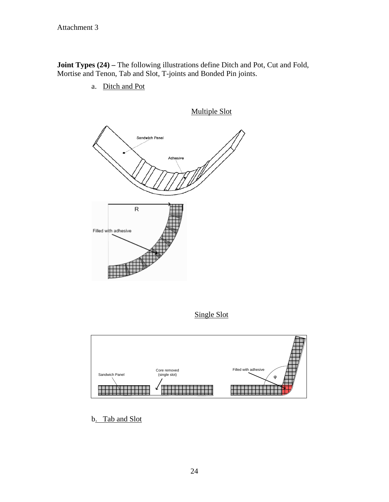**Joint Types (24) –** The following illustrations define Ditch and Pot, Cut and Fold, Mortise and Tenon, Tab and Slot, T-joints and Bonded Pin joints.

a. Ditch and Pot



Single Slot



b. Tab and Slot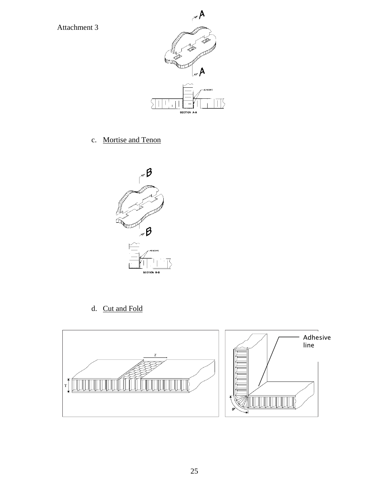

c. Mortise and Tenon



d. Cut and Fold



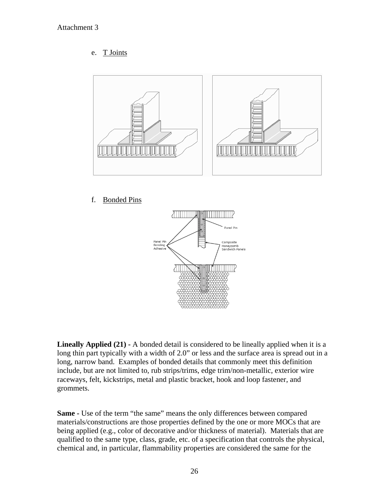#### e. T Joints



#### f. Bonded Pins



**Lineally Applied (21) -** A bonded detail is considered to be lineally applied when it is a long thin part typically with a width of 2.0" or less and the surface area is spread out in a long, narrow band. Examples of bonded details that commonly meet this definition include, but are not limited to, rub strips/trims, edge trim/non-metallic, exterior wire raceways, felt, kickstrips, metal and plastic bracket, hook and loop fastener, and grommets.

**Same -** Use of the term "the same" means the only differences between compared materials/constructions are those properties defined by the one or more MOCs that are being applied (e.g., color of decorative and/or thickness of material). Materials that are qualified to the same type, class, grade, etc. of a specification that controls the physical, chemical and, in particular, flammability properties are considered the same for the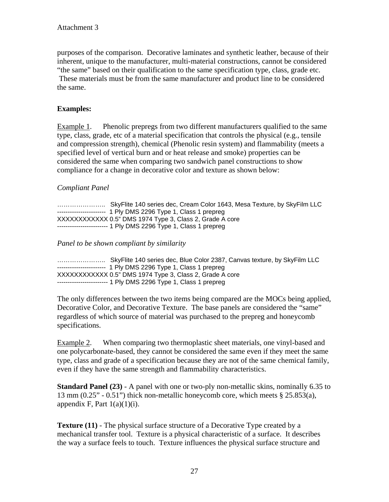purposes of the comparison. Decorative laminates and synthetic leather, because of their inherent, unique to the manufacturer, multi-material constructions, cannot be considered "the same" based on their qualification to the same specification type, class, grade etc. These materials must be from the same manufacturer and product line to be considered the same.

#### **Examples:**

Example 1. Phenolic prepregs from two different manufacturers qualified to the same type, class, grade, etc of a material specification that controls the physical (e.g., tensile and compression strength), chemical (Phenolic resin system) and flammability (meets a specified level of vertical burn and or heat release and smoke) properties can be considered the same when comparing two sandwich panel constructions to show compliance for a change in decorative color and texture as shown below:

#### *Compliant Panel*

………………….. SkyFlite 140 series dec, Cream Color 1643, Mesa Texture, by SkyFilm LLC ----------------------- 1 Ply DMS 2296 Type 1, Class 1 prepreg XXXXXXXXXXXX 0.5" DMS 1974 Type 3, Class 2, Grade A core ------------------------ 1 Ply DMS 2296 Type 1, Class 1 prepreg

*Panel to be shown compliant by similarity* 

………………….. SkyFlite 140 series dec, Blue Color 2387, Canvas texture, by SkyFilm LLC ----------------------- 1 Ply DMS 2296 Type 1, Class 1 prepreg XXXXXXXXXXXX 0.5" DMS 1974 Type 3, Class 2, Grade A core ------------------------ 1 Ply DMS 2296 Type 1, Class 1 prepreg

The only differences between the two items being compared are the MOCs being applied, Decorative Color, and Decorative Texture. The base panels are considered the "same" regardless of which source of material was purchased to the prepreg and honeycomb specifications.

Example 2. When comparing two thermoplastic sheet materials, one vinyl-based and one polycarbonate-based, they cannot be considered the same even if they meet the same type, class and grade of a specification because they are not of the same chemical family, even if they have the same strength and flammability characteristics.

**Standard Panel (23)** - A panel with one or two-ply non-metallic skins, nominally 6.35 to 13 mm (0.25" - 0.51") thick non-metallic honeycomb core, which meets § 25.853(a), appendix F, Part  $1(a)(1)(i)$ .

**Texture (11)** - The physical surface structure of a Decorative Type created by a mechanical transfer tool. Texture is a physical characteristic of a surface. It describes the way a surface feels to touch. Texture influences the physical surface structure and